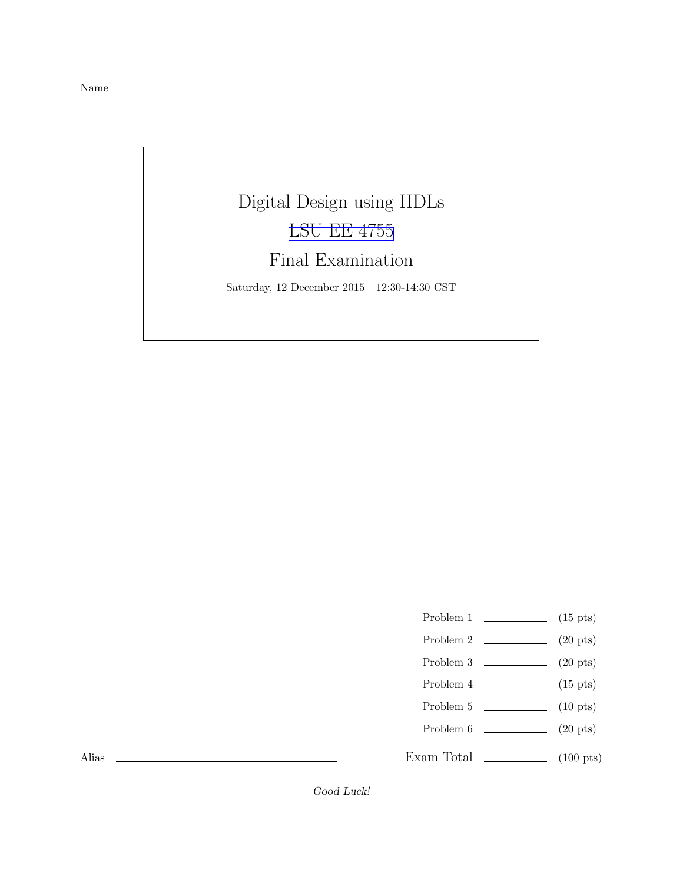Name

# Digital Design using HDLs [LSU EE 4755](http://www.ece.lsu.edu/koppel/v/) Final Examination Saturday, 12 December 2015 12:30-14:30 CST

- Problem 1  $\qquad \qquad$  (15 pts)
- Problem 2 (20 pts)
- Problem  $3 \t\t(20 \text{ pts})$
- Problem  $4 \t\t(15 \text{ pts})$
- Problem 5  $\qquad \qquad$  (10 pts)
- Problem 6 (20 pts)
- Exam Total \_\_\_\_\_\_\_\_\_\_\_\_\_\_ (100 pts)

Alias

Good Luck!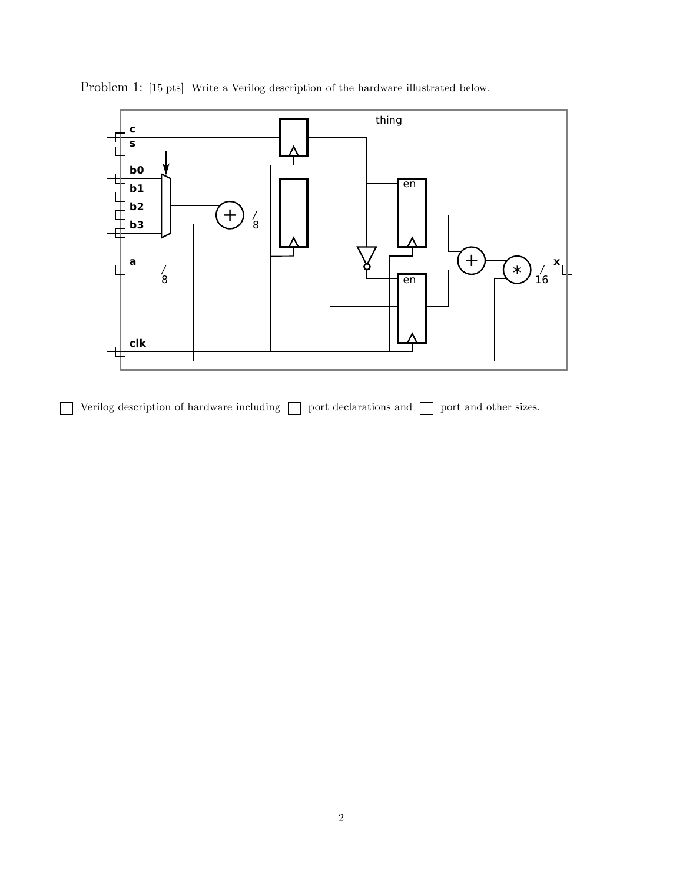

Problem 1: [15 pts] Write a Verilog description of the hardware illustrated below.

Verilog description of hardware including  $\Box$  port declarations and  $\Box$  port and other sizes.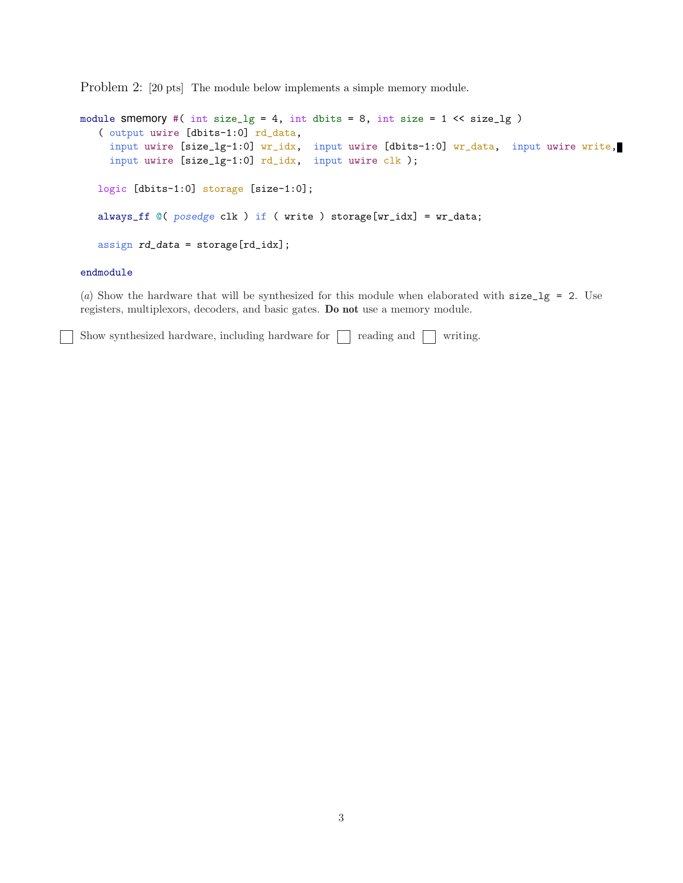Problem 2: [20 pts] The module below implements a simple memory module.

```
module Smemory #( int size_lg = 4, int dbits = 8, int size = 1 \ll size_{lg} )
   ( output uwire [dbits-1:0] rd_data,
     input uwire [size_lg-1:0] wr_idx, input uwire [dbits-1:0] wr_data, input uwire write,
     input uwire [size_lg-1:0] rd_idx, input uwire clk );
   logic [dbits-1:0] storage [size-1:0];
   always_ff @( posedge clk ) if ( write ) storage[wr_idx] = wr_data;
   assign rd_data = storage[rd_idx];
```
#### endmodule

(a) Show the hardware that will be synthesized for this module when elaborated with  $size\_lg = 2$ . Use registers, multiplexors, decoders, and basic gates. Do not use a memory module.

Show synthesized hardware, including hardware for  $\Box$  reading and  $\Box$  writing.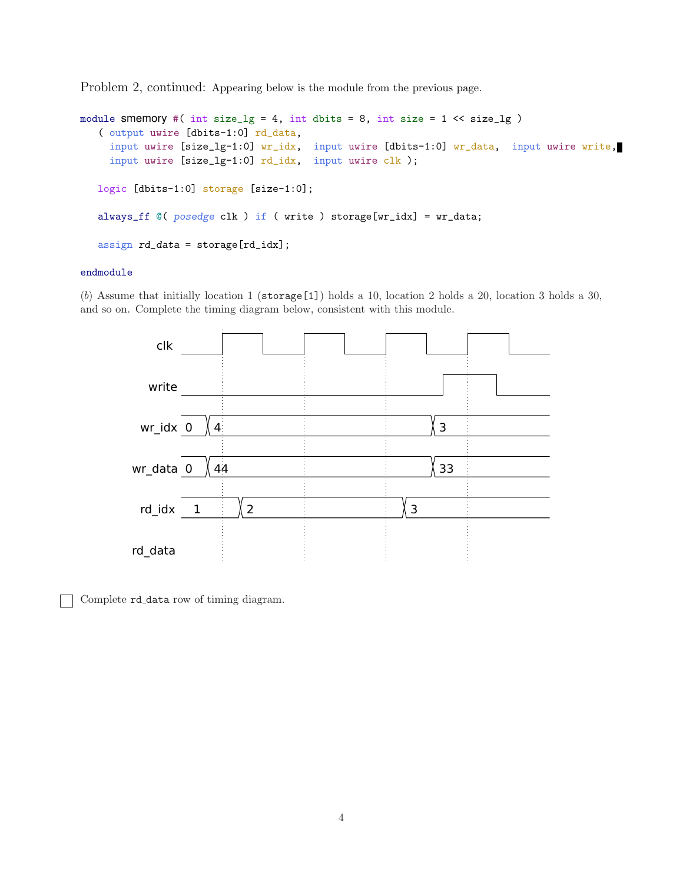Problem 2, continued: Appearing below is the module from the previous page.

```
module smemory #( int size_lg = 4, int dbits = 8, int size = 1 << size_lg )
   ( output uwire [dbits-1:0] rd_data,
     input uwire [size_lg-1:0] wr_idx, input uwire [dbits-1:0] wr_data, input uwire write,
     input uwire [size_lg-1:0] rd_idx, input uwire clk );
   logic [dbits-1:0] storage [size-1:0];
   always_ff @( posedge clk ) if ( write ) storage[wr_idx] = wr_data;
   assign rd_data = storage[rd_idx];
```
### endmodule

(b) Assume that initially location 1 ( $\frac{\epsilon}{1}$ ) holds a 10, location 2 holds a 20, location 3 holds a 30, and so on. Complete the timing diagram below, consistent with this module.



Complete rd data row of timing diagram.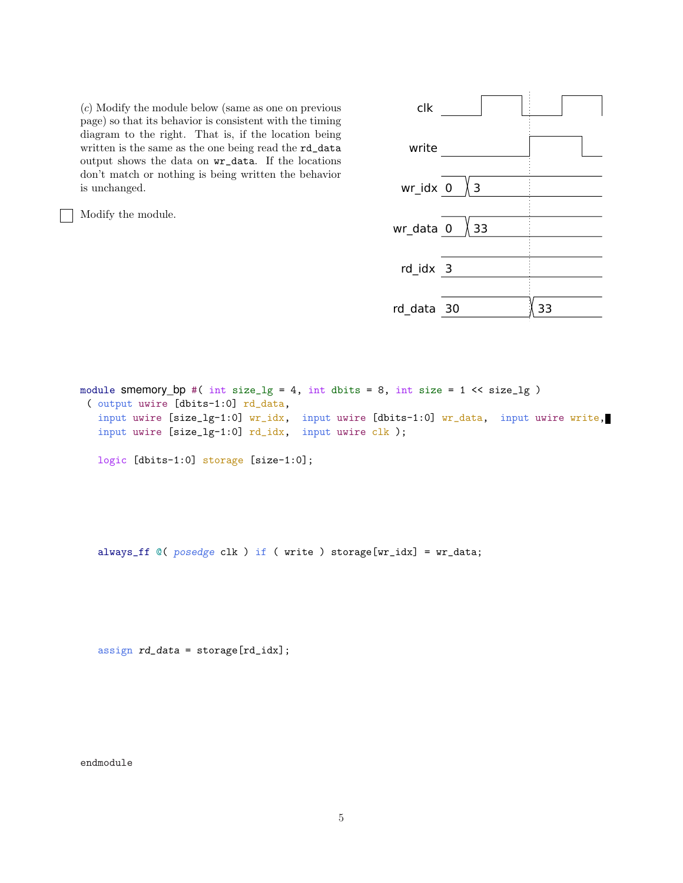(c) Modify the module below (same as one on previous page) so that its behavior is consistent with the timing diagram to the right. That is, if the location being written is the same as the one being read the rd\_data output shows the data on wr\_data. If the locations don't match or nothing is being written the behavior is unchanged.

Modify the module.



module smemory\_bp #( int size\_lg = 4, int dbits = 8, int size =  $1 \leq s$  ize\_lg ) ( output uwire [dbits-1:0] rd\_data, input uwire [size\_lg-1:0] wr\_idx, input uwire [dbits-1:0] wr\_data, input uwire write, input uwire [size\_lg-1:0] rd\_idx, input uwire clk ); logic [dbits-1:0] storage [size-1:0];

always\_ff @( posedge clk ) if ( write ) storage[wr\_idx] = wr\_data;

 $assign \ rd_data = storage[rd_idx];$ 

endmodule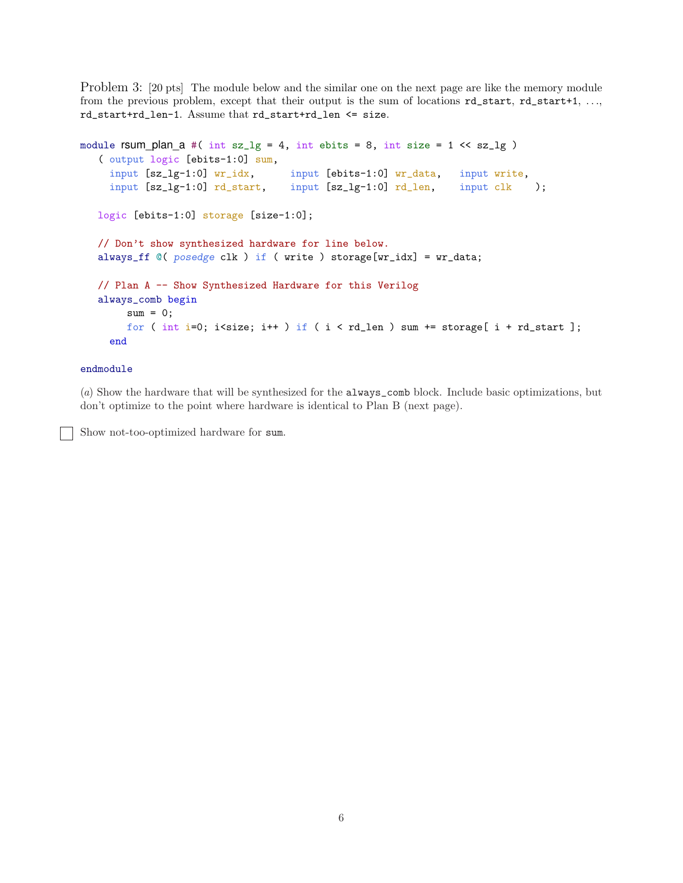Problem 3: [20 pts] The module below and the similar one on the next page are like the memory module from the previous problem, except that their output is the sum of locations  $rd\_start$ ,  $rd\_start+1$ , ..., rd\_start+rd\_len-1. Assume that rd\_start+rd\_len <= size.

```
module rsum_plan_a #( int sz_1g = 4, int ebits = 8, int size = 1 << sz_1g )
   ( output logic [ebits-1:0] sum,
    input [sz_lg-1:0] wr_idx, input [ebits-1:0] wr_data, input write,
    input [sz_lg-1:0] rd_start, input [sz_lg-1:0] rd_len, input clk );
  logic [ebits-1:0] storage [size-1:0];
  // Don't show synthesized hardware for line below.
  always_ff @( posedge clk ) if ( write ) storage[wr_idx] = wr_data;
  // Plan A -- Show Synthesized Hardware for this Verilog
  always_comb begin
       sum = 0;for ( int i=0; i<size; i++ ) if ( i < rd len ) sum += storage[ i + rd start ];
    end
```
# endmodule

(a) Show the hardware that will be synthesized for the always\_comb block. Include basic optimizations, but don't optimize to the point where hardware is identical to Plan B (next page).

Show not-too-optimized hardware for sum.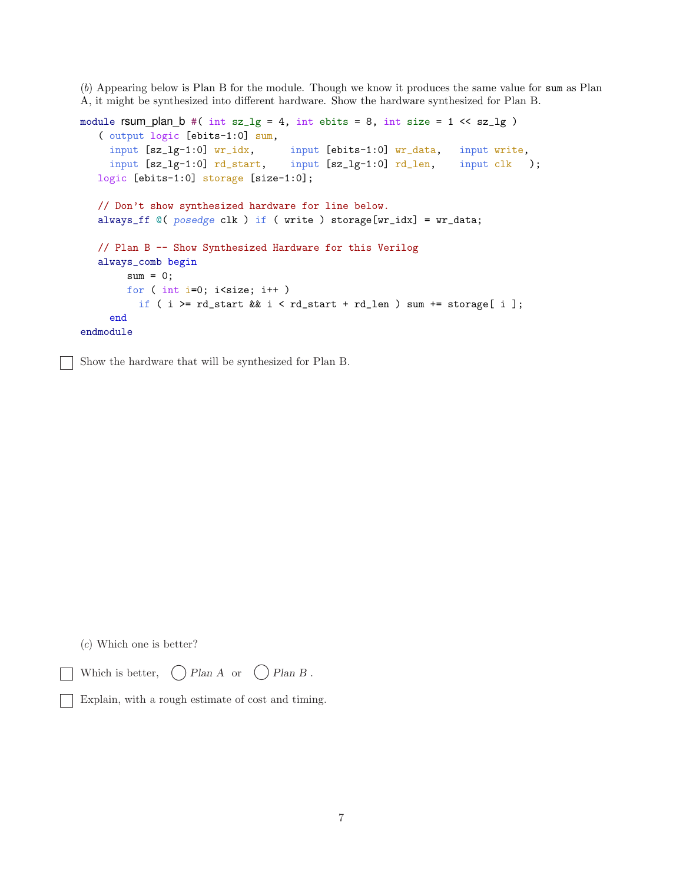(b) Appearing below is Plan B for the module. Though we know it produces the same value for sum as Plan A, it might be synthesized into different hardware. Show the hardware synthesized for Plan B.

```
module rsum\_plan\_b #( int sz\_lg = 4, int ebits = 8, int size = 1 << sz\_lg )
   ( output logic [ebits-1:0] sum,
    input [sz_lg-1:0] wr_idx, input [ebits-1:0] wr_data, input write,
    input [sz_lg-1:0] rd\_start, input [sz_lg-1:0] rd\_len, input clk);
  logic [ebits-1:0] storage [size-1:0];
  // Don't show synthesized hardware for line below.
  always_ff @( posedge clk ) if ( write ) storage[wr_idx] = wr_data;
  // Plan B -- Show Synthesized Hardware for this Verilog
  always_comb begin
       sum = 0;for ( int i=0; i < size; i++ )
         if ( i >= rd_start && i < rd_start + rd_len ) sum += store[i];
    end
endmodule
```
Show the hardware that will be synthesized for Plan B.

(c) Which one is better?

```
Which is better, \bigcap Plan A or \bigcap Plan B.
```

```
Explain, with a rough estimate of cost and timing.
```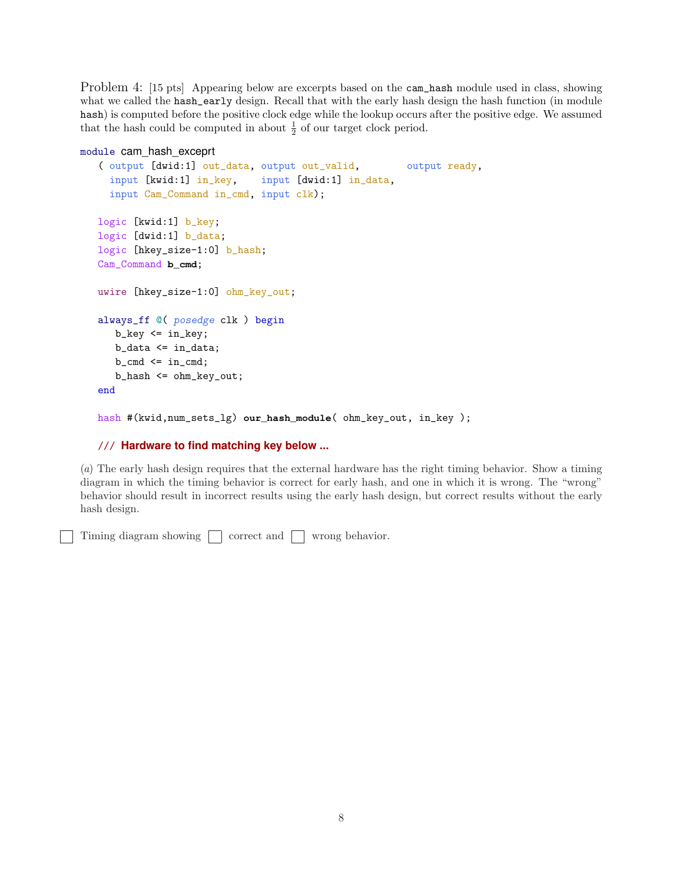Problem 4: [15 pts] Appearing below are excerpts based on the cam\_hash module used in class, showing what we called the hash\_early design. Recall that with the early hash design the hash function (in module hash) is computed before the positive clock edge while the lookup occurs after the positive edge. We assumed that the hash could be computed in about  $\frac{1}{2}$  of our target clock period.

#### module cam\_hash\_exceprt

```
( output [dwid:1] out_data, output out_valid, output ready,
  input [kwid:1] in_key, input [dwid:1] in_data,
  input Cam_Command in_cmd, input clk);
logic [kwid:1] b_key;
logic [dwid:1] b_data;
logic [hkey_size-1:0] b_hash;
Cam_Command b_cmd;
uwire [hkey_size-1:0] ohm_key_out;
always_ff @( posedge clk ) begin
   b_{key} \leq in_{key};b_data <= in_data;
   b_{cmd} \leq \text{in}_{cmd};
   b_hash <= ohm_key_out;
end
```
hash #(kwid,num\_sets\_lg) **our\_hash\_module**( ohm\_key\_out, in\_key );

# /// **Hardware to find matching key below ...**

(a) The early hash design requires that the external hardware has the right timing behavior. Show a timing diagram in which the timing behavior is correct for early hash, and one in which it is wrong. The "wrong" behavior should result in incorrect results using the early hash design, but correct results without the early hash design.

Timing diagram showing  $\Box$  correct and  $\Box$  wrong behavior.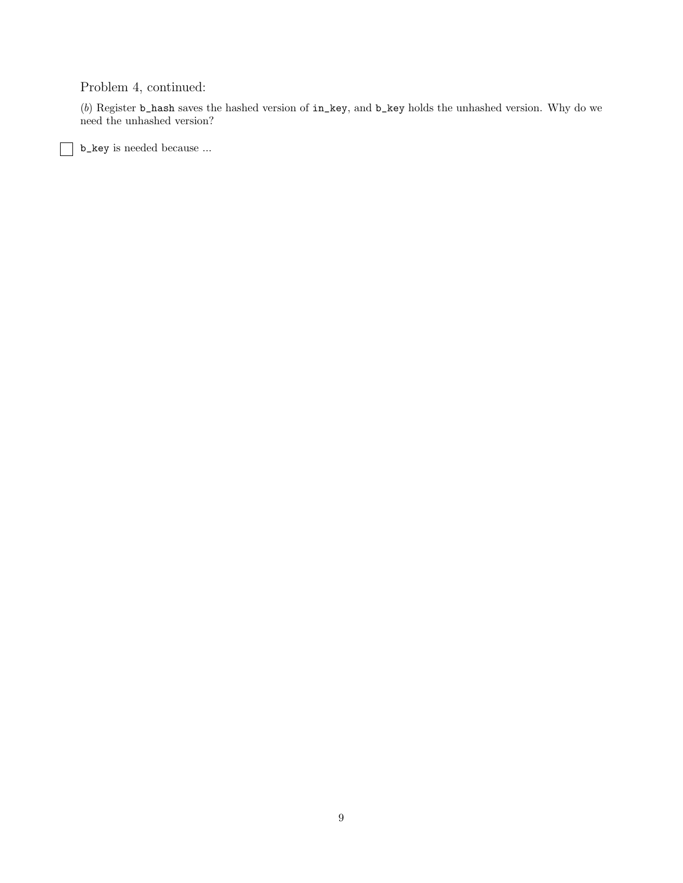# Problem 4, continued:

(b) Register b\_hash saves the hashed version of in\_key, and b\_key holds the unhashed version. Why do we need the unhashed version?

b\_key is needed because ...

 $\mathbf{I}$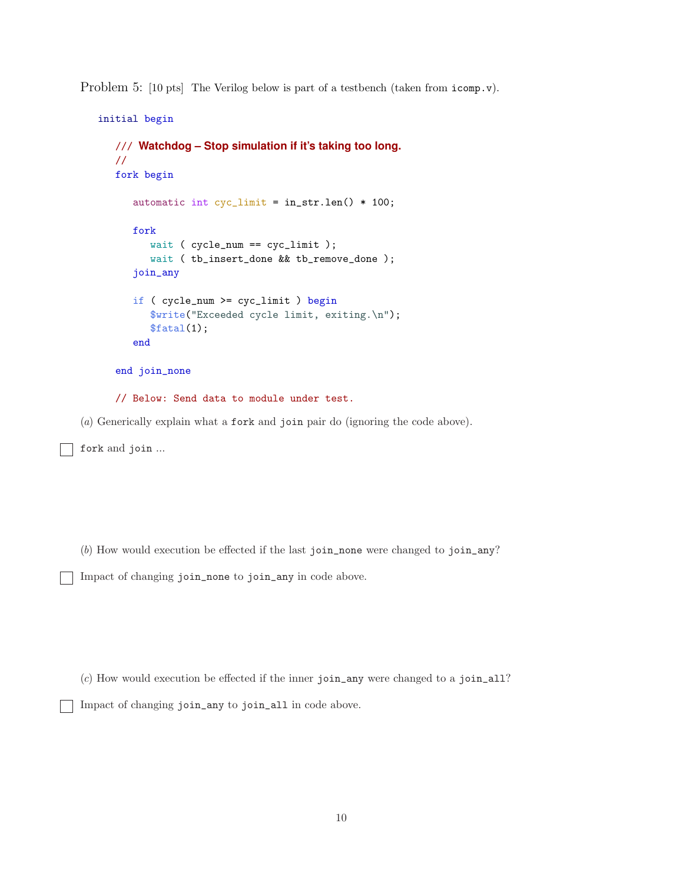Problem 5:  $[10 \text{ pts}]$  The Verilog below is part of a testbench (taken from icomp.v).

```
initial begin
  /// Watchdog – Stop simulation if it's taking too long.
  //
  fork begin
      automatic int cyc_limit = in_str.len() * 100;
      fork
         wait ( cycle_num == cyc_limit );
         wait ( tb_insert_done && tb_remove_done );
      join_any
      if ( cycle_num >= cyc_limit ) begin
         $write("Exceeded cycle limit, exiting.\n");
         $fatal(1);end
   end join_none
  // Below: Send data to module under test.
```
(a) Generically explain what a fork and join pair do (ignoring the code above).

fork and join ...

(b) How would execution be effected if the last join\_none were changed to join\_any?

Impact of changing join\_none to join\_any in code above.

(c) How would execution be effected if the inner join\_any were changed to a join\_all?

Impact of changing join\_any to join\_all in code above.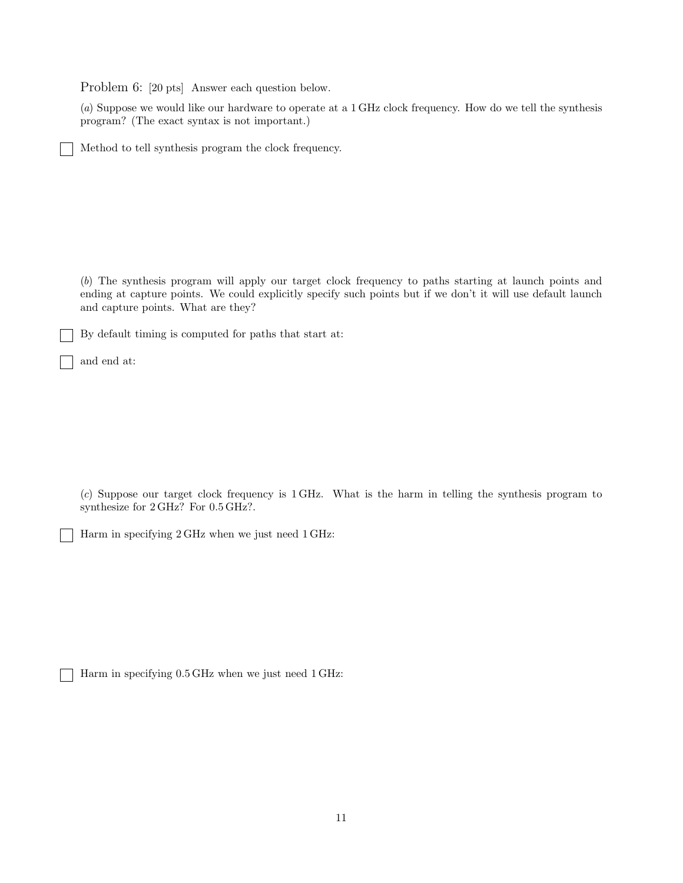Problem 6: [20 pts] Answer each question below.

(a) Suppose we would like our hardware to operate at a 1 GHz clock frequency. How do we tell the synthesis program? (The exact syntax is not important.)

Method to tell synthesis program the clock frequency.

(b) The synthesis program will apply our target clock frequency to paths starting at launch points and ending at capture points. We could explicitly specify such points but if we don't it will use default launch and capture points. What are they?

By default timing is computed for paths that start at:

and end at:

(c) Suppose our target clock frequency is 1 GHz. What is the harm in telling the synthesis program to synthesize for 2 GHz? For 0.5 GHz?.

Harm in specifying 2 GHz when we just need 1 GHz:

Harm in specifying 0.5 GHz when we just need 1 GHz: